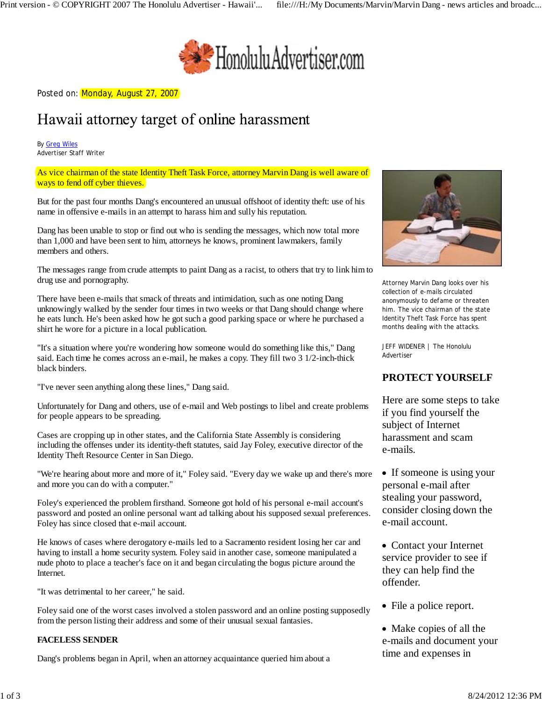

Posted on: Monday, August 27, 2007

# Hawaii attorney target of online harassment

By Greg Wiles Advertiser Staff Writer

As vice chairman of the state Identity Theft Task Force, attorney Marvin Dang is well aware of ways to fend off cyber thieves.

But for the past four months Dang's encountered an unusual offshoot of identity theft: use of his name in offensive e-mails in an attempt to harass him and sully his reputation.

Dang has been unable to stop or find out who is sending the messages, which now total more than 1,000 and have been sent to him, attorneys he knows, prominent lawmakers, family members and others.

The messages range from crude attempts to paint Dang as a racist, to others that try to link him to drug use and pornography.

There have been e-mails that smack of threats and intimidation, such as one noting Dang unknowingly walked by the sender four times in two weeks or that Dang should change where he eats lunch. He's been asked how he got such a good parking space or where he purchased a shirt he wore for a picture in a local publication.

"It's a situation where you're wondering how someone would do something like this," Dang said. Each time he comes across an e-mail, he makes a copy. They fill two 3 1/2-inch-thick black binders.

"I've never seen anything along these lines," Dang said.

Unfortunately for Dang and others, use of e-mail and Web postings to libel and create problems for people appears to be spreading.

Cases are cropping up in other states, and the California State Assembly is considering including the offenses under its identity-theft statutes, said Jay Foley, executive director of the Identity Theft Resource Center in San Diego.

"We're hearing about more and more of it," Foley said. "Every day we wake up and there's more and more you can do with a computer."

Foley's experienced the problem firsthand. Someone got hold of his personal e-mail account's password and posted an online personal want ad talking about his supposed sexual preferences. Foley has since closed that e-mail account.

He knows of cases where derogatory e-mails led to a Sacramento resident losing her car and having to install a home security system. Foley said in another case, someone manipulated a nude photo to place a teacher's face on it and began circulating the bogus picture around the Internet.

"It was detrimental to her career," he said.

Foley said one of the worst cases involved a stolen password and an online posting supposedly from the person listing their address and some of their unusual sexual fantasies.

#### **FACELESS SENDER**

Dang's problems began in April, when an attorney acquaintance queried him about a



Attorney Marvin Dang looks over his collection of e-mails circulated anonymously to defame or threaten him. The vice chairman of the state Identity Theft Task Force has spent months dealing with the attacks.

JEFF WIDENER | The Honolulu Advertiser

## **PROTECT YOURSELF**

Here are some steps to take if you find yourself the subject of Internet harassment and scam e-mails.

- If someone is using your personal e-mail after stealing your password, consider closing down the e-mail account.
- Contact your Internet service provider to see if they can help find the offender.
- File a police report.
- Make copies of all the e-mails and document your time and expenses in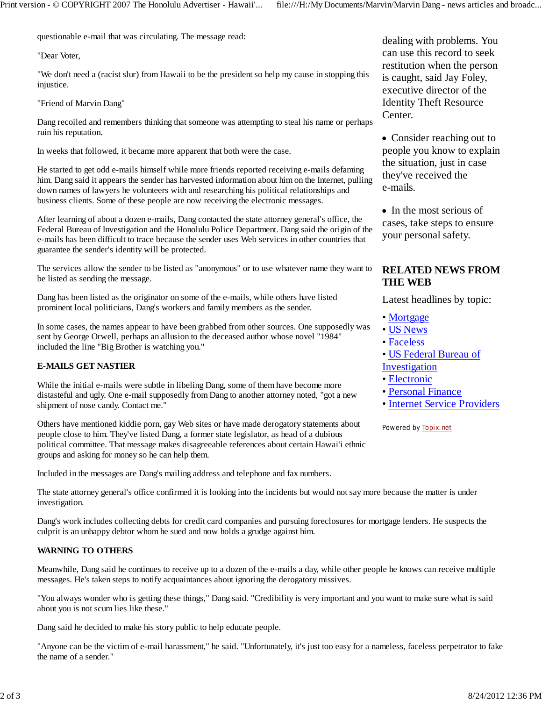questionable e-mail that was circulating. The message read:

"Dear Voter,

"We don't need a (racist slur) from Hawaii to be the president so help my cause in stopping this injustice.

"Friend of Marvin Dang"

Dang recoiled and remembers thinking that someone was attempting to steal his name or perhaps ruin his reputation.

In weeks that followed, it became more apparent that both were the case.

He started to get odd e-mails himself while more friends reported receiving e-mails defaming him. Dang said it appears the sender has harvested information about him on the Internet, pulling down names of lawyers he volunteers with and researching his political relationships and business clients. Some of these people are now receiving the electronic messages.

After learning of about a dozen e-mails, Dang contacted the state attorney general's office, the Federal Bureau of Investigation and the Honolulu Police Department. Dang said the origin of the e-mails has been difficult to trace because the sender uses Web services in other countries that guarantee the sender's identity will be protected.

The services allow the sender to be listed as "anonymous" or to use whatever name they want to be listed as sending the message.

Dang has been listed as the originator on some of the e-mails, while others have listed prominent local politicians, Dang's workers and family members as the sender.

In some cases, the names appear to have been grabbed from other sources. One supposedly was sent by George Orwell, perhaps an allusion to the deceased author whose novel "1984" included the line "Big Brother is watching you."

#### **E-MAILS GET NASTIER**

While the initial e-mails were subtle in libeling Dang, some of them have become more distasteful and ugly. One e-mail supposedly from Dang to another attorney noted, "got a new shipment of nose candy. Contact me."

Others have mentioned kiddie porn, gay Web sites or have made derogatory statements about people close to him. They've listed Dang, a former state legislator, as head of a dubious political committee. That message makes disagreeable references about certain Hawai'i ethnic groups and asking for money so he can help them.

Included in the messages are Dang's mailing address and telephone and fax numbers.

The state attorney general's office confirmed it is looking into the incidents but would not say more because the matter is under investigation.

Dang's work includes collecting debts for credit card companies and pursuing foreclosures for mortgage lenders. He suspects the culprit is an unhappy debtor whom he sued and now holds a grudge against him.

#### **WARNING TO OTHERS**

Meanwhile, Dang said he continues to receive up to a dozen of the e-mails a day, while other people he knows can receive multiple messages. He's taken steps to notify acquaintances about ignoring the derogatory missives.

"You always wonder who is getting these things," Dang said. "Credibility is very important and you want to make sure what is said about you is not scum lies like these."

Dang said he decided to make his story public to help educate people.

"Anyone can be the victim of e-mail harassment," he said. "Unfortunately, it's just too easy for a nameless, faceless perpetrator to fake the name of a sender."

dealing with problems. You can use this record to seek restitution when the person is caught, said Jay Foley, executive director of the Identity Theft Resource Center.

• Consider reaching out to people you know to explain the situation, just in case they've received the e-mails.

• In the most serious of cases, take steps to ensure your personal safety.

### **RELATED NEWS FROM THE WEB**

Latest headlines by topic:

- Mortgage
- US News
- Faceless
- US Federal Bureau of
- Investigation
- Electronic
- Personal Finance
- Internet Service Providers

Powered by Topix.net